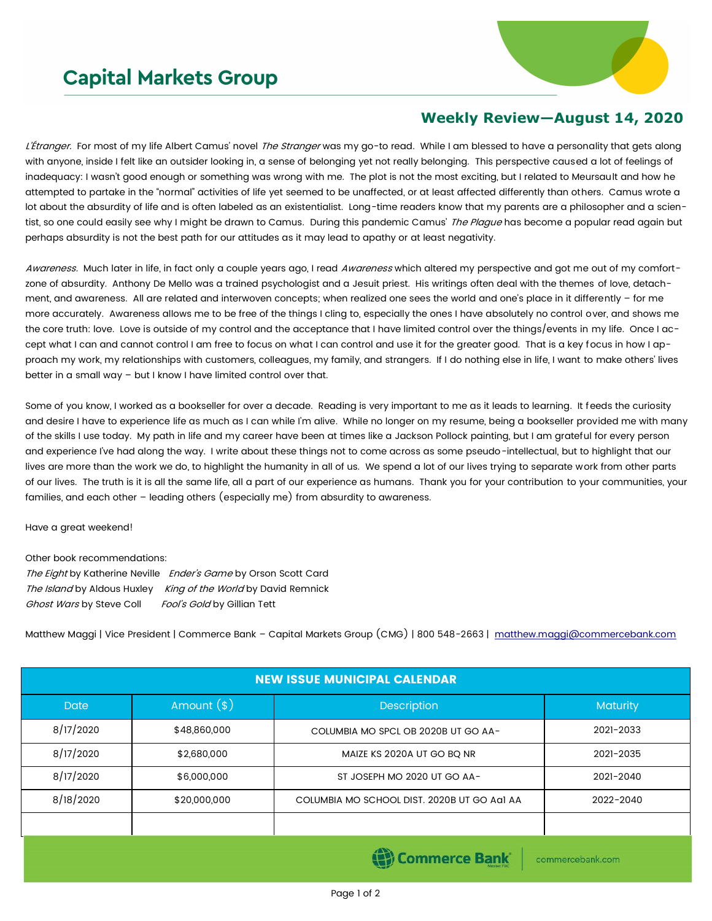## **Capital Markets Group**



## **Weekly Review—August 14, 2020**

L'Étranger. For most of my life Albert Camus' novel The Stranger was my go-to read. While I am blessed to have a personality that gets along with anyone, inside I felt like an outsider looking in, a sense of belonging yet not really belonging. This perspective caused a lot of feelings of inadequacy: I wasn't good enough or something was wrong with me. The plot is not the most exciting, but I related to Meursault and how he attempted to partake in the "normal" activities of life yet seemed to be unaffected, or at least affected differently than others. Camus wrote a lot about the absurdity of life and is often labeled as an existentialist. Long-time readers know that my parents are a philosopher and a scientist, so one could easily see why I might be drawn to Camus. During this pandemic Camus' The Plague has become a popular read again but perhaps absurdity is not the best path for our attitudes as it may lead to apathy or at least negativity.

Awareness. Much later in life, in fact only a couple years ago, I read Awareness which altered my perspective and got me out of my comfortzone of absurdity. Anthony De Mello was a trained psychologist and a Jesuit priest. His writings often deal with the themes of love, detachment, and awareness. All are related and interwoven concepts; when realized one sees the world and one's place in it differently – for me more accurately. Awareness allows me to be free of the things I cling to, especially the ones I have absolutely no control over, and shows me the core truth: love. Love is outside of my control and the acceptance that I have limited control over the things/events in my life. Once I accept what I can and cannot control I am free to focus on what I can control and use it for the greater good. That is a key focus in how I approach my work, my relationships with customers, colleagues, my family, and strangers. If I do nothing else in life, I want to make others' lives better in a small way – but I know I have limited control over that.

Some of you know, I worked as a bookseller for over a decade. Reading is very important to me as it leads to learning. It feeds the curiosity and desire I have to experience life as much as I can while I'm alive. While no longer on my resume, being a bookseller provided me with many of the skills I use today. My path in life and my career have been at times like a Jackson Pollock painting, but I am grateful for every person and experience I've had along the way. I write about these things not to come across as some pseudo-intellectual, but to highlight that our lives are more than the work we do, to highlight the humanity in all of us. We spend a lot of our lives trying to separate work from other parts of our lives. The truth is it is all the same life, all a part of our experience as humans. Thank you for your contribution to your communities, your families, and each other – leading others (especially me) from absurdity to awareness.

## Have a great weekend!

Other book recommendations: The Eight by Katherine Neville Ender's Game by Orson Scott Card The Island by Aldous Huxley King of the World by David Remnick Ghost Wars by Steve Coll Fool's Gold by Gillian Tett

Matthew Maggi | Vice President | Commerce Bank - Capital Markets Group (CMG) | 800 548-2663 | [matthew.maggi@commercebank.com](mailto:matthew.maggi@commercebank.com)

| <b>NEW ISSUE MUNICIPAL CALENDAR</b> |              |                                             |                 |  |  |  |  |  |  |
|-------------------------------------|--------------|---------------------------------------------|-----------------|--|--|--|--|--|--|
| <b>Date</b>                         | Amount $(*)$ | <b>Description</b>                          | <b>Maturity</b> |  |  |  |  |  |  |
| 8/17/2020                           | \$48,860,000 | COLUMBIA MO SPCL OB 2020B UT GO AA-         | 2021-2033       |  |  |  |  |  |  |
| 8/17/2020                           | \$2,680,000  | MAIZE KS 2020A UT GO BO NR                  | 2021-2035       |  |  |  |  |  |  |
| 8/17/2020                           | \$6,000,000  | ST JOSEPH MO 2020 UT GO AA-                 | 2021-2040       |  |  |  |  |  |  |
| 8/18/2020                           | \$20,000,000 | COLUMBIA MO SCHOOL DIST. 2020B UT GO AGI AA | 2022-2040       |  |  |  |  |  |  |
|                                     |              |                                             |                 |  |  |  |  |  |  |
|                                     |              |                                             |                 |  |  |  |  |  |  |

(B) Commerce Bank

commercebank.com